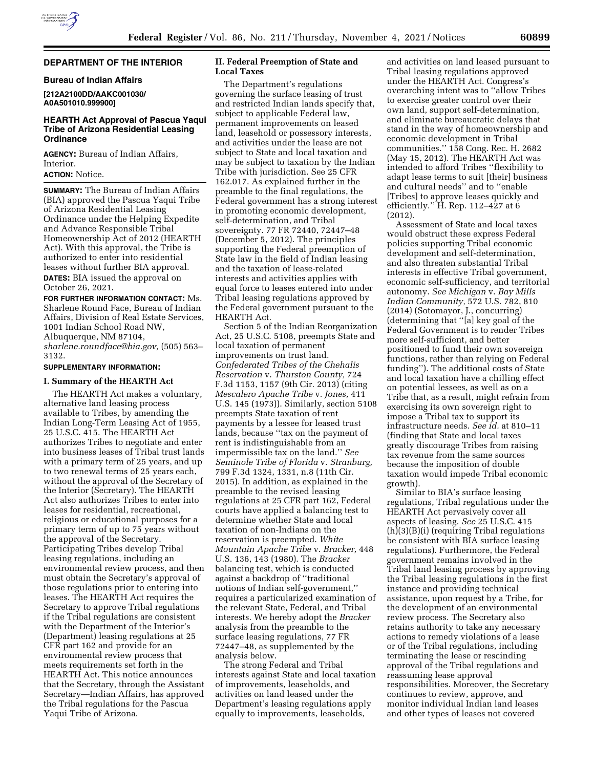# **DEPARTMENT OF THE INTERIOR**

# **Bureau of Indian Affairs**

**[212A2100DD/AAKC001030/ A0A501010.999900]** 

# **HEARTH Act Approval of Pascua Yaqui Tribe of Arizona Residential Leasing Ordinance**

**AGENCY:** Bureau of Indian Affairs, Interior.

# **ACTION:** Notice.

**SUMMARY:** The Bureau of Indian Affairs (BIA) approved the Pascua Yaqui Tribe of Arizona Residential Leasing Ordinance under the Helping Expedite and Advance Responsible Tribal Homeownership Act of 2012 (HEARTH Act). With this approval, the Tribe is authorized to enter into residential leases without further BIA approval. **DATES:** BIA issued the approval on

October 26, 2021.

**FOR FURTHER INFORMATION CONTACT:** Ms. Sharlene Round Face, Bureau of Indian Affairs, Division of Real Estate Services, 1001 Indian School Road NW, Albuquerque, NM 87104, *[sharlene.roundface@bia.gov,](mailto:sharlene.roundface@bia.gov)* (505) 563– 3132.

## **SUPPLEMENTARY INFORMATION:**

## **I. Summary of the HEARTH Act**

The HEARTH Act makes a voluntary, alternative land leasing process available to Tribes, by amending the Indian Long-Term Leasing Act of 1955, 25 U.S.C. 415. The HEARTH Act authorizes Tribes to negotiate and enter into business leases of Tribal trust lands with a primary term of 25 years, and up to two renewal terms of 25 years each, without the approval of the Secretary of the Interior (Secretary). The HEARTH Act also authorizes Tribes to enter into leases for residential, recreational, religious or educational purposes for a primary term of up to 75 years without the approval of the Secretary. Participating Tribes develop Tribal leasing regulations, including an environmental review process, and then must obtain the Secretary's approval of those regulations prior to entering into leases. The HEARTH Act requires the Secretary to approve Tribal regulations if the Tribal regulations are consistent with the Department of the Interior's (Department) leasing regulations at 25 CFR part 162 and provide for an environmental review process that meets requirements set forth in the HEARTH Act. This notice announces that the Secretary, through the Assistant Secretary—Indian Affairs, has approved the Tribal regulations for the Pascua Yaqui Tribe of Arizona.

# **II. Federal Preemption of State and Local Taxes**

The Department's regulations governing the surface leasing of trust and restricted Indian lands specify that, subject to applicable Federal law, permanent improvements on leased land, leasehold or possessory interests, and activities under the lease are not subject to State and local taxation and may be subject to taxation by the Indian Tribe with jurisdiction. See 25 CFR 162.017. As explained further in the preamble to the final regulations, the Federal government has a strong interest in promoting economic development, self-determination, and Tribal sovereignty. 77 FR 72440, 72447–48 (December 5, 2012). The principles supporting the Federal preemption of State law in the field of Indian leasing and the taxation of lease-related interests and activities applies with equal force to leases entered into under Tribal leasing regulations approved by the Federal government pursuant to the HEARTH Act.

Section 5 of the Indian Reorganization Act, 25 U.S.C. 5108, preempts State and local taxation of permanent improvements on trust land. *Confederated Tribes of the Chehalis Reservation* v. *Thurston County,* 724 F.3d 1153, 1157 (9th Cir. 2013) (citing *Mescalero Apache Tribe* v. *Jones,* 411 U.S. 145 (1973)). Similarly, section 5108 preempts State taxation of rent payments by a lessee for leased trust lands, because ''tax on the payment of rent is indistinguishable from an impermissible tax on the land.'' *See Seminole Tribe of Florida* v. *Stranburg,*  799 F.3d 1324, 1331, n.8 (11th Cir. 2015). In addition, as explained in the preamble to the revised leasing regulations at 25 CFR part 162, Federal courts have applied a balancing test to determine whether State and local taxation of non-Indians on the reservation is preempted. *White Mountain Apache Tribe* v. *Bracker,* 448 U.S. 136, 143 (1980). The *Bracker*  balancing test, which is conducted against a backdrop of ''traditional notions of Indian self-government,'' requires a particularized examination of the relevant State, Federal, and Tribal interests. We hereby adopt the *Bracker*  analysis from the preamble to the surface leasing regulations, 77 FR 72447–48, as supplemented by the analysis below.

The strong Federal and Tribal interests against State and local taxation of improvements, leaseholds, and activities on land leased under the Department's leasing regulations apply equally to improvements, leaseholds,

and activities on land leased pursuant to Tribal leasing regulations approved under the HEARTH Act. Congress's overarching intent was to ''allow Tribes to exercise greater control over their own land, support self-determination, and eliminate bureaucratic delays that stand in the way of homeownership and economic development in Tribal communities.'' 158 Cong. Rec. H. 2682 (May 15, 2012). The HEARTH Act was intended to afford Tribes ''flexibility to adapt lease terms to suit [their] business and cultural needs'' and to ''enable [Tribes] to approve leases quickly and efficiently.'' H. Rep. 112–427 at 6 (2012).

Assessment of State and local taxes would obstruct these express Federal policies supporting Tribal economic development and self-determination, and also threaten substantial Tribal interests in effective Tribal government, economic self-sufficiency, and territorial autonomy. *See Michigan* v. *Bay Mills Indian Community,* 572 U.S. 782, 810 (2014) (Sotomayor, J., concurring) (determining that ''[a] key goal of the Federal Government is to render Tribes more self-sufficient, and better positioned to fund their own sovereign functions, rather than relying on Federal funding''). The additional costs of State and local taxation have a chilling effect on potential lessees, as well as on a Tribe that, as a result, might refrain from exercising its own sovereign right to impose a Tribal tax to support its infrastructure needs. *See id.* at 810–11 (finding that State and local taxes greatly discourage Tribes from raising tax revenue from the same sources because the imposition of double taxation would impede Tribal economic growth).

Similar to BIA's surface leasing regulations, Tribal regulations under the HEARTH Act pervasively cover all aspects of leasing. *See* 25 U.S.C. 415 (h)(3)(B)(i) (requiring Tribal regulations be consistent with BIA surface leasing regulations). Furthermore, the Federal government remains involved in the Tribal land leasing process by approving the Tribal leasing regulations in the first instance and providing technical assistance, upon request by a Tribe, for the development of an environmental review process. The Secretary also retains authority to take any necessary actions to remedy violations of a lease or of the Tribal regulations, including terminating the lease or rescinding approval of the Tribal regulations and reassuming lease approval responsibilities. Moreover, the Secretary continues to review, approve, and monitor individual Indian land leases and other types of leases not covered